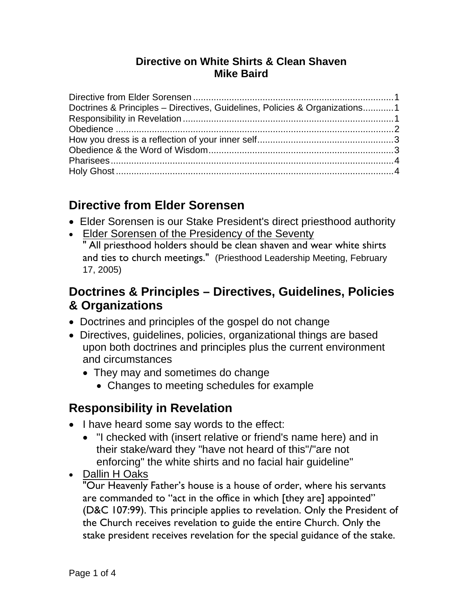#### **Directive on White Shirts & Clean Shaven Mike Baird**

| Doctrines & Principles - Directives, Guidelines, Policies & Organizations1 |  |
|----------------------------------------------------------------------------|--|
|                                                                            |  |
|                                                                            |  |
|                                                                            |  |
|                                                                            |  |
|                                                                            |  |
|                                                                            |  |

# **Directive from Elder Sorensen**

- Elder Sorensen is our Stake President's direct priesthood authority
- Elder Sorensen of the Presidency of the Seventy

" All priesthood holders should be clean shaven and wear white shirts and ties to church meetings." (Priesthood Leadership Meeting, February 17, 2005)

# **Doctrines & Principles – Directives, Guidelines, Policies & Organizations**

- Doctrines and principles of the gospel do not change
- Directives, guidelines, policies, organizational things are based upon both doctrines and principles plus the current environment and circumstances
	- They may and sometimes do change
		- Changes to meeting schedules for example

#### **Responsibility in Revelation**

- I have heard some say words to the effect:
	- "I checked with (insert relative or friend's name here) and in their stake/ward they "have not heard of this"/"are not enforcing" the white shirts and no facial hair guideline"
- Dallin H Oaks

"Our Heavenly Father's house is a house of order, where his servants are commanded to "act in the office in which [they are] appointed" (D&C 107:99). This principle applies to revelation. Only the President of the Church receives revelation to guide the entire Church. Only the stake president receives revelation for the special guidance of the stake.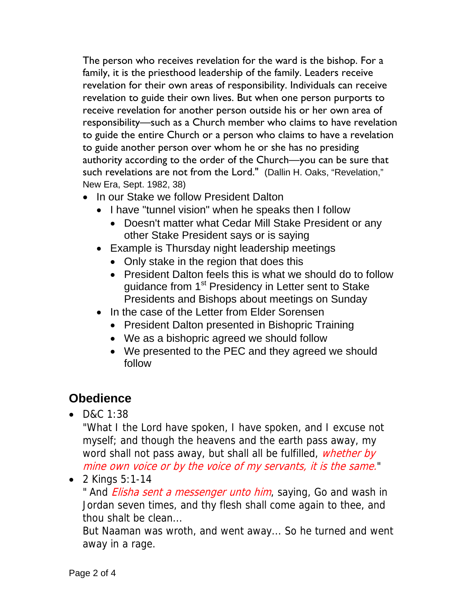The person who receives revelation for the ward is the bishop. For a family, it is the priesthood leadership of the family. Leaders receive revelation for their own areas of responsibility. Individuals can receive revelation to guide their own lives. But when one person purports to receive revelation for another person outside his or her own area of responsibility—such as a Church member who claims to have revelation to guide the entire Church or a person who claims to have a revelation to guide another person over whom he or she has no presiding authority according to the order of the Church—you can be sure that such revelations are not from the Lord." (Dallin H. Oaks, "Revelation," New Era, Sept. 1982, 38)

- In our Stake we follow President Dalton
	- I have "tunnel vision" when he speaks then I follow
		- Doesn't matter what Cedar Mill Stake President or any other Stake President says or is saying
	- Example is Thursday night leadership meetings
		- Only stake in the region that does this
		- President Dalton feels this is what we should do to follow guidance from 1<sup>st</sup> Presidency in Letter sent to Stake Presidents and Bishops about meetings on Sunday
	- In the case of the Letter from Elder Sorensen
		- President Dalton presented in Bishopric Training
		- We as a bishopric agreed we should follow
		- We presented to the PEC and they agreed we should follow

# **Obedience**

 $\bullet$  D&C 1:38

"What I the Lord have spoken, I have spoken, and I excuse not myself; and though the heavens and the earth pass away, my word shall not pass away, but shall all be fulfilled, whether by mine own voice or by the voice of my servants, it is the same."

• 2 Kings  $5:1-14$ 

" And *Elisha sent a messenger unto him*, saying, Go and wash in Jordan seven times, and thy flesh shall come again to thee, and thou shalt be clean...

But Naaman was wroth, and went away... So he turned and went away in a rage.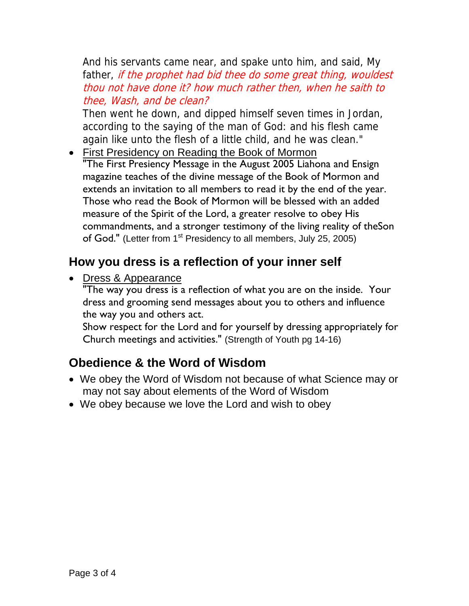And his servants came near, and spake unto him, and said, My father, if the prophet had bid thee do some great thing, wouldest thou not have done it? how much rather then, when he saith to thee, Wash, and be clean?

Then went he down, and dipped himself seven times in Jordan, according to the saying of the man of God: and his flesh came again like unto the flesh of a little child, and he was clean."

 First Presidency on Reading the Book of Mormon "The First Presiency Message in the August 2005 Liahona and Ensign magazine teaches of the divine message of the Book of Mormon and extends an invitation to all members to read it by the end of the year. Those who read the Book of Mormon will be blessed with an added measure of the Spirit of the Lord, a greater resolve to obey His commandments, and a stronger testimony of the living reality of theSon of God." (Letter from 1<sup>st</sup> Presidency to all members, July 25, 2005)

# **How you dress is a reflection of your inner self**

• Dress & Appearance

"The way you dress is a reflection of what you are on the inside. Your dress and grooming send messages about you to others and influence the way you and others act.

Show respect for the Lord and for yourself by dressing appropriately for Church meetings and activities." (Strength of Youth pg 14-16)

# **Obedience & the Word of Wisdom**

- We obey the Word of Wisdom not because of what Science may or may not say about elements of the Word of Wisdom
- We obey because we love the Lord and wish to obey